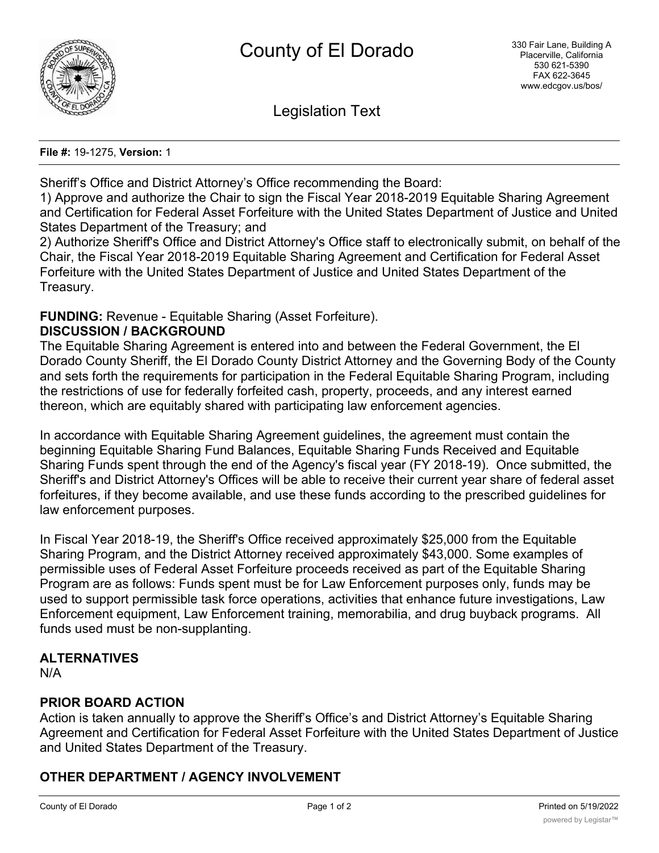

Legislation Text

**File #:** 19-1275, **Version:** 1

Sheriff's Office and District Attorney's Office recommending the Board:

1) Approve and authorize the Chair to sign the Fiscal Year 2018-2019 Equitable Sharing Agreement and Certification for Federal Asset Forfeiture with the United States Department of Justice and United States Department of the Treasury; and

2) Authorize Sheriff's Office and District Attorney's Office staff to electronically submit, on behalf of the Chair, the Fiscal Year 2018-2019 Equitable Sharing Agreement and Certification for Federal Asset Forfeiture with the United States Department of Justice and United States Department of the Treasury.

# **FUNDING:** Revenue - Equitable Sharing (Asset Forfeiture).

## **DISCUSSION / BACKGROUND**

The Equitable Sharing Agreement is entered into and between the Federal Government, the El Dorado County Sheriff, the El Dorado County District Attorney and the Governing Body of the County and sets forth the requirements for participation in the Federal Equitable Sharing Program, including the restrictions of use for federally forfeited cash, property, proceeds, and any interest earned thereon, which are equitably shared with participating law enforcement agencies.

In accordance with Equitable Sharing Agreement guidelines, the agreement must contain the beginning Equitable Sharing Fund Balances, Equitable Sharing Funds Received and Equitable Sharing Funds spent through the end of the Agency's fiscal year (FY 2018-19). Once submitted, the Sheriff's and District Attorney's Offices will be able to receive their current year share of federal asset forfeitures, if they become available, and use these funds according to the prescribed guidelines for law enforcement purposes.

In Fiscal Year 2018-19, the Sheriff's Office received approximately \$25,000 from the Equitable Sharing Program, and the District Attorney received approximately \$43,000. Some examples of permissible uses of Federal Asset Forfeiture proceeds received as part of the Equitable Sharing Program are as follows: Funds spent must be for Law Enforcement purposes only, funds may be used to support permissible task force operations, activities that enhance future investigations, Law Enforcement equipment, Law Enforcement training, memorabilia, and drug buyback programs. All funds used must be non-supplanting.

### **ALTERNATIVES**

N/A

# **PRIOR BOARD ACTION**

Action is taken annually to approve the Sheriff's Office's and District Attorney's Equitable Sharing Agreement and Certification for Federal Asset Forfeiture with the United States Department of Justice and United States Department of the Treasury.

# **OTHER DEPARTMENT / AGENCY INVOLVEMENT**